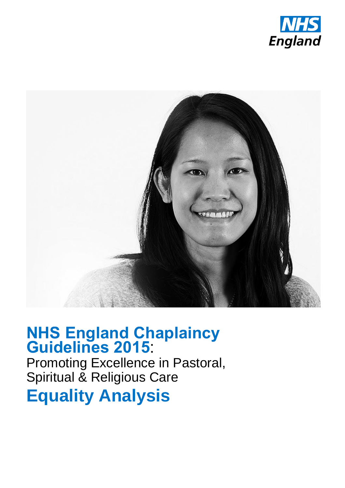



# **NHS England Chaplaincy Guidelines 2015**:

Promoting Excellence in Pastoral, Spiritual & Religious Care

**Equality Analysis**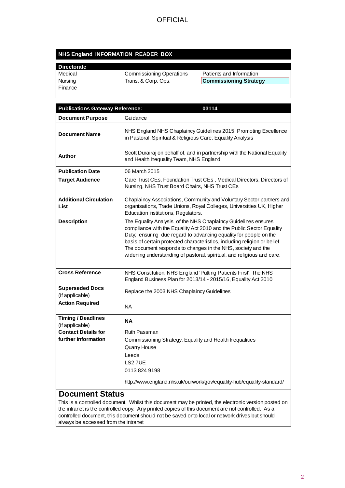#### **NHS England INFORMATION READER BOX**

## **Directorate**

**Finance** 

Medical Commissioning Operations Patients and Information<br>
Nursing Trans. & Corp. Ops. Commissioning Strate

**Commissioning Strategy** 

| <b>Publications Gateway Reference:</b>            | 03114                                                                                                                                                                                                                                                                                                                                                                                                                              |
|---------------------------------------------------|------------------------------------------------------------------------------------------------------------------------------------------------------------------------------------------------------------------------------------------------------------------------------------------------------------------------------------------------------------------------------------------------------------------------------------|
| <b>Document Purpose</b>                           | Guidance                                                                                                                                                                                                                                                                                                                                                                                                                           |
| <b>Document Name</b>                              | NHS England NHS Chaplaincy Guidelines 2015: Promoting Excellence<br>in Pastoral, Spiritual & Religious Care: Equality Analysis                                                                                                                                                                                                                                                                                                     |
| Author                                            | Scott Durairaj on behalf of, and in partnership with the National Equality<br>and Health Inequality Team, NHS England                                                                                                                                                                                                                                                                                                              |
| <b>Publication Date</b>                           | 06 March 2015                                                                                                                                                                                                                                                                                                                                                                                                                      |
| <b>Target Audience</b>                            | Care Trust CEs, Foundation Trust CEs, Medical Directors, Directors of<br>Nursing, NHS Trust Board Chairs, NHS Trust CEs                                                                                                                                                                                                                                                                                                            |
| <b>Additional Circulation</b><br>List             | Chaplaincy Associations, Community and Voluntary Sector partners and<br>organisations, Trade Unions, Royal Colleges, Universities UK, Higher<br>Education Institutions, Regulators.                                                                                                                                                                                                                                                |
| <b>Description</b>                                | The Equality Analysis of the NHS Chaplaincy Guidelines ensures<br>compliance with the Equality Act 2010 and the Public Sector Equality<br>Duty; ensuring due regard to advancing equality for people on the<br>basis of certain protected characteristics, including religion or belief.<br>The document responds to changes in the NHS, society and the<br>widening understanding of pastoral, spiritual, and religious and care. |
| <b>Cross Reference</b>                            | NHS Constitution, NHS England 'Putting Patients First', The NHS<br>England Business Plan for 2013/14 - 2015/16, Equality Act 2010                                                                                                                                                                                                                                                                                                  |
| <b>Superseded Docs</b><br>(if applicable)         | Replace the 2003 NHS Chaplaincy Guidelines                                                                                                                                                                                                                                                                                                                                                                                         |
| <b>Action Required</b>                            | <b>NA</b>                                                                                                                                                                                                                                                                                                                                                                                                                          |
| <b>Timing / Deadlines</b><br>(if applicable)      | ΝA                                                                                                                                                                                                                                                                                                                                                                                                                                 |
| <b>Contact Details for</b><br>further information | Ruth Passman<br>Commissioning Strategy: Equality and Health Inequalities<br><b>Quarry House</b><br>Leeds<br>LS2 7UE<br>01138249198<br>http://www.england.nhs.uk/ourwork/gov/equality-hub/equality-standard/                                                                                                                                                                                                                        |
| <b>Document Status</b>                            | This is a controlled decument. Whilet this decument moy be printed, the electronic version peoted on                                                                                                                                                                                                                                                                                                                               |

This is a controlled document. Whilst this document may be printed, the electronic version posted on the intranet is the controlled copy. Any printed copies of this document are not controlled. As a controlled document, this document should not be saved onto local or network drives but should always be accessed from the intranet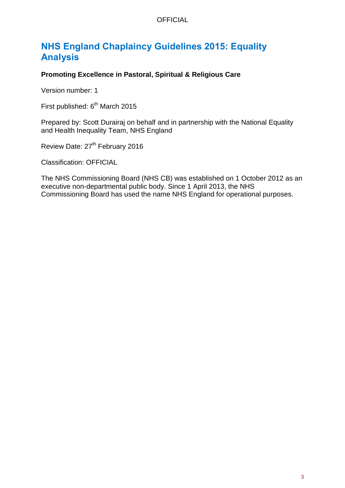#### **OFFICIAL**

## <span id="page-2-0"></span>**NHS England Chaplaincy Guidelines 2015: Equality Analysis**

#### **Promoting Excellence in Pastoral, Spiritual & Religious Care**

Version number: 1

First published: 6<sup>th</sup> March 2015

Prepared by: Scott Durairaj on behalf and in partnership with the National Equality and Health Inequality Team, NHS England

Review Date: 27<sup>th</sup> February 2016

Classification: OFFICIAL

The NHS Commissioning Board (NHS CB) was established on 1 October 2012 as an executive non-departmental public body. Since 1 April 2013, the NHS Commissioning Board has used the name NHS England for operational purposes.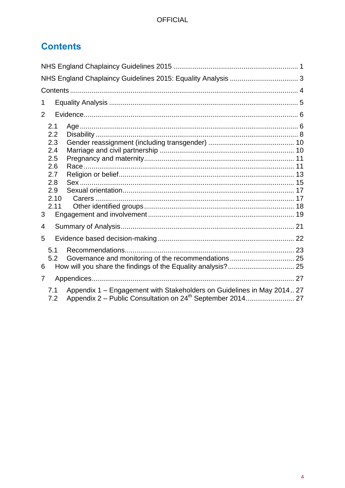## <span id="page-3-0"></span>**Contents**

| 1                                                                                    |  |
|--------------------------------------------------------------------------------------|--|
| $\overline{2}$                                                                       |  |
| 2.1<br>2.2<br>2.3<br>2.4<br>2.5<br>2.6<br>2.7<br>2.8<br>2.9<br>2.10<br>2.11<br>3     |  |
| 4                                                                                    |  |
| 5                                                                                    |  |
| 5.1<br>5.2<br>6                                                                      |  |
| 7                                                                                    |  |
| Appendix 1 – Engagement with Stakeholders on Guidelines in May 2014 27<br>7.1<br>7.2 |  |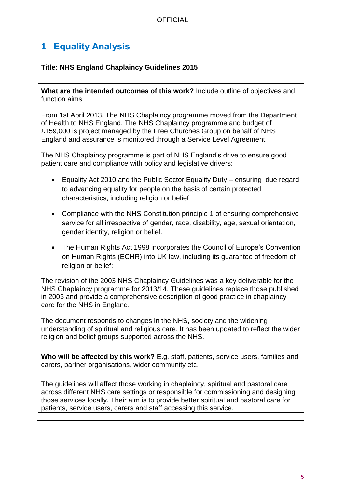## <span id="page-4-0"></span>**1 Equality Analysis**

#### **Title: NHS England Chaplaincy Guidelines 2015**

**What are the intended outcomes of this work?** Include outline of objectives and function aims

From 1st April 2013, The NHS Chaplaincy programme moved from the Department of Health to NHS England. The NHS Chaplaincy programme and budget of £159,000 is project managed by the Free Churches Group on behalf of NHS England and assurance is monitored through a Service Level Agreement.

The NHS Chaplaincy programme is part of NHS England's drive to ensure good patient care and compliance with policy and legislative drivers:

- Equality Act 2010 and the Public Sector Equality Duty ensuring due regard to advancing equality for people on the basis of certain protected characteristics, including religion or belief
- Compliance with the NHS Constitution principle 1 of ensuring comprehensive service for all irrespective of gender, race, disability, age, sexual orientation, gender identity, religion or belief.
- The Human Rights Act 1998 incorporates the Council of Europe's Convention on Human Rights (ECHR) into UK law, including its guarantee of freedom of religion or belief:

The revision of the 2003 NHS Chaplaincy Guidelines was a key deliverable for the NHS Chaplaincy programme for 2013/14. These guidelines replace those published in 2003 and provide a comprehensive description of good practice in chaplaincy care for the NHS in England.

The document responds to changes in the NHS, society and the widening understanding of spiritual and religious care. It has been updated to reflect the wider religion and belief groups supported across the NHS.

**Who will be affected by this work?** E.g. staff, patients, service users, families and carers, partner organisations, wider community etc.

The guidelines will affect those working in chaplaincy, spiritual and pastoral care across different NHS care settings or responsible for commissioning and designing those services locally. Their aim is to provide better spiritual and pastoral care for patients, service users, carers and staff accessing this service.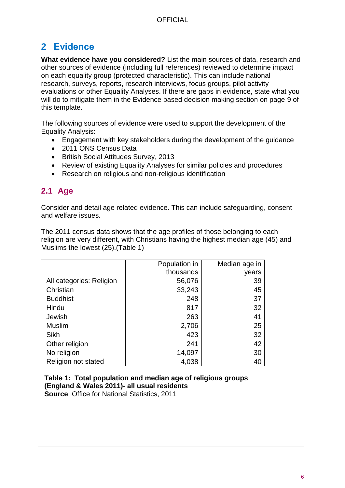## <span id="page-5-0"></span>**2 Evidence**

**What evidence have you considered?** List the main sources of data, research and other sources of evidence (including full references) reviewed to determine impact on each equality group (protected characteristic). This can include national research, surveys, reports, research interviews, focus groups, pilot activity evaluations or other Equality Analyses. If there are gaps in evidence, state what you will do to mitigate them in the Evidence based decision making section on page 9 of this template.

The following sources of evidence were used to support the development of the Equality Analysis:

- Engagement with key stakeholders during the development of the guidance
- 2011 ONS Census Data
- British Social Attitudes Survey, 2013
- Review of existing Equality Analyses for similar policies and procedures
- Research on religious and non-religious identification

### <span id="page-5-1"></span>**2.1 Age**

Consider and detail age related evidence. This can include safeguarding, consent and welfare issues*.*

The 2011 census data shows that the age profiles of those belonging to each religion are very different, with Christians having the highest median age (45) and Muslims the lowest (25).(Table 1)

|                          | Population in | Median age in |
|--------------------------|---------------|---------------|
|                          | thousands     | years         |
| All categories: Religion | 56,076        | 39            |
| Christian                | 33,243        | 45            |
| <b>Buddhist</b>          | 248           | 37            |
| Hindu                    | 817           | 32            |
| Jewish                   | 263           | 41            |
| <b>Muslim</b>            | 2,706         | 25            |
| <b>Sikh</b>              | 423           | 32            |
| Other religion           | 241           | 42            |
| No religion              | 14,097        | 30            |
| Religion not stated      | 4,038         | 40            |

**Table 1: Total population and median age of religious groups (England & Wales 2011)- all usual residents Source**: Office for National Statistics, 2011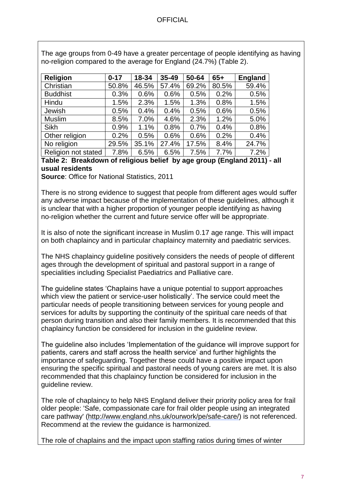#### **OFFICIAL**

| <b>Religion</b>     | $0 - 17$ | 18-34 | $35 - 49$ | 50-64 | $65+$ | <b>England</b> |
|---------------------|----------|-------|-----------|-------|-------|----------------|
| Christian           | 50.8%    | 46.5% | 57.4%     | 69.2% | 80.5% | 59.4%          |
| <b>Buddhist</b>     | 0.3%     | 0.6%  | 0.6%      | 0.5%  | 0.2%  | 0.5%           |
| Hindu               | 1.5%     | 2.3%  | 1.5%      | 1.3%  | 0.8%  | 1.5%           |
| Jewish              | 0.5%     | 0.4%  | 0.4%      | 0.5%  | 0.6%  | 0.5%           |
| <b>Muslim</b>       | 8.5%     | 7.0%  | 4.6%      | 2.3%  | 1.2%  | 5.0%           |
| <b>Sikh</b>         | 0.9%     | 1.1%  | 0.8%      | 0.7%  | 0.4%  | 0.8%           |
| Other religion      | 0.2%     | 0.5%  | 0.6%      | 0.6%  | 0.2%  | 0.4%           |
| No religion         | 29.5%    | 35.1% | 27.4%     | 17.5% | 8.4%  | 24.7%          |
| Religion not stated | 7.8%     | 6.5%  | 6.5%      | 7.5%  | 7.7%  | 7.2%           |

The age groups from 0-49 have a greater percentage of people identifying as having no-religion compared to the average for England (24.7%) (Table 2).

#### **Table 2: Breakdown of religious belief by age group (England 2011) - all usual residents**

**Source**: Office for National Statistics, 2011

There is no strong evidence to suggest that people from different ages would suffer any adverse impact because of the implementation of these guidelines, although it is unclear that with a higher proportion of younger people identifying as having no-religion whether the current and future service offer will be appropriate.

It is also of note the significant increase in Muslim 0.17 age range. This will impact on both chaplaincy and in particular chaplaincy maternity and paediatric services.

The NHS chaplaincy guideline positively considers the needs of people of different ages through the development of spiritual and pastoral support in a range of specialities including Specialist Paediatrics and Palliative care.

The guideline states 'Chaplains have a unique potential to support approaches which view the patient or service-user holistically'. The service could meet the particular needs of people transitioning between services for young people and services for adults by supporting the continuity of the spiritual care needs of that person during transition and also their family members. It is recommended that this chaplaincy function be considered for inclusion in the guideline review.

The guideline also includes 'Implementation of the guidance will improve support for patients, carers and staff across the health service' and further highlights the importance of safeguarding. Together these could have a positive impact upon ensuring the specific spiritual and pastoral needs of young carers are met. It is also recommended that this chaplaincy function be considered for inclusion in the guideline review.

The role of chaplaincy to help NHS England deliver their priority policy area for frail older people: 'Safe, compassionate care for frail older people using an integrated care pathway' [\(http://www.england.nhs.uk/ourwork/pe/safe-care/\)](http://www.england.nhs.uk/ourwork/pe/safe-care/) is not referenced. Recommend at the review the guidance is harmonized.

The role of chaplains and the impact upon staffing ratios during times of winter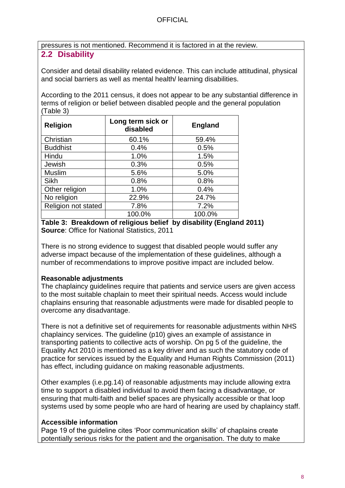pressures is not mentioned. Recommend it is factored in at the review.

## <span id="page-7-0"></span>**2.2 Disability**

Consider and detail disability related evidence. This can include attitudinal, physical and social barriers as well as mental health/ learning disabilities.

According to the 2011 census, it does not appear to be any substantial difference in terms of religion or belief between disabled people and the general population (Table 3)

| <b>Religion</b>     | Long term sick or<br>disabled | <b>England</b> |
|---------------------|-------------------------------|----------------|
| Christian           | 60.1%                         | 59.4%          |
| <b>Buddhist</b>     | 0.4%                          | 0.5%           |
| Hindu               | 1.0%                          | 1.5%           |
| Jewish              | 0.3%                          | 0.5%           |
| Muslim              | 5.6%                          | 5.0%           |
| <b>Sikh</b>         | 0.8%                          | 0.8%           |
| Other religion      | 1.0%                          | 0.4%           |
| No religion         | 22.9%                         | 24.7%          |
| Religion not stated | 7.8%                          | 7.2%           |
|                     | 100.0%                        | 100.0%         |

**Table 3: Breakdown of religious belief by disability (England 2011) Source**: Office for National Statistics, 2011

There is no strong evidence to suggest that disabled people would suffer any adverse impact because of the implementation of these guidelines, although a number of recommendations to improve positive impact are included below.

#### **Reasonable adjustments**

The chaplaincy guidelines require that patients and service users are given access to the most suitable chaplain to meet their spiritual needs. Access would include chaplains ensuring that reasonable adjustments were made for disabled people to overcome any disadvantage.

There is not a definitive set of requirements for reasonable adjustments within NHS chaplaincy services. The guideline (p10) gives an example of assistance in transporting patients to collective acts of worship. On pg 5 of the guideline, the Equality Act 2010 is mentioned as a key driver and as such the statutory code of practice for services issued by the Equality and Human Rights Commission (2011) has effect, including guidance on making reasonable adjustments.

Other examples (i.e.pg.14) of reasonable adjustments may include allowing extra time to support a disabled individual to avoid them facing a disadvantage, or ensuring that multi-faith and belief spaces are physically accessible or that loop systems used by some people who are hard of hearing are used by chaplaincy staff.

#### **Accessible information**

Page 19 of the guideline cites 'Poor communication skills' of chaplains create potentially serious risks for the patient and the organisation. The duty to make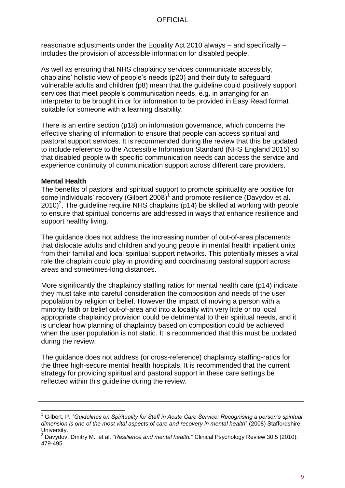reasonable adjustments under the Equality Act 2010 always – and specifically – includes the provision of accessible information for disabled people.

As well as ensuring that NHS chaplaincy services communicate accessibly, chaplains' holistic view of people's needs (p20) and their duty to safeguard vulnerable adults and children (p8) mean that the guideline could positively support services that meet people's communication needs, e.g. in arranging for an interpreter to be brought in or for information to be provided in Easy Read format suitable for someone with a learning disability.

There is an entire section (p18) on information governance, which concerns the effective sharing of information to ensure that people can access spiritual and pastoral support services. It is recommended during the review that this be updated to include reference to the Accessible Information Standard (NHS England 2015) so that disabled people with specific communication needs can access the service and experience continuity of communication support across different care providers.

#### **Mental Health**

The benefits of pastoral and spiritual support to promote spirituality are positive for some individuals' recovery (Gilbert 2008) $^1$  and promote resilience (Davydov et al. 2010)<sup>2</sup>. The guideline require NHS chaplains (p14) be skilled at working with people to ensure that spiritual concerns are addressed in ways that enhance resilience and support healthy living.

The guidance does not address the increasing number of out-of-area placements that dislocate adults and children and young people in mental health inpatient units from their familial and local spiritual support networks. This potentially misses a vital role the chaplain could play in providing and coordinating pastoral support across areas and sometimes-long distances.

More significantly the chaplaincy staffing ratios for mental health care (p14) indicate they must take into careful consideration the composition and needs of the user population by religion or belief. However the impact of moving a person with a minority faith or belief out-of-area and into a locality with very little or no local appropriate chaplaincy provision could be detrimental to their spiritual needs, and it is unclear how planning of chaplaincy based on composition could be achieved when the user population is not static. It is recommended that this must be updated during the review.

The guidance does not address (or cross-reference) chaplaincy staffing-ratios for the three high-secure mental health hospitals. It is recommended that the current strategy for providing spiritual and pastoral support in these care settings be reflected within this guideline during the review.

l <sup>1</sup> Gilbert, P. *"Guidelines on Spirituality for Staff in Acute Care Service: Recognising a person's spiritual dimension is one of the most vital aspects of care and recovery in mental health*" (2008) Staffordshire University.

<sup>2</sup> Davydov, Dmitry M., et al. "*Resilience and mental health."* Clinical Psychology Review 30.5 (2010): 479-495.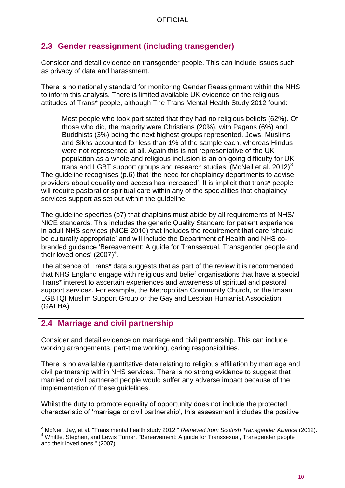## <span id="page-9-0"></span>**2.3 Gender reassignment (including transgender)**

Consider and detail evidence on transgender people. This can include issues such as privacy of data and harassment.

There is no nationally standard for monitoring Gender Reassignment within the NHS to inform this analysis. There is limited available UK evidence on the religious attitudes of Trans\* people, although The Trans Mental Health Study 2012 found:

Most people who took part stated that they had no religious beliefs (62%). Of those who did, the majority were Christians (20%), with Pagans (6%) and Buddhists (3%) being the next highest groups represented. Jews, Muslims and Sikhs accounted for less than 1% of the sample each, whereas Hindus were not represented at all. Again this is not representative of the UK population as a whole and religious inclusion is an on-going difficulty for UK trans and LGBT support groups and research studies. (McNeil et al. 2012) $3$ The guideline recognises (p.6) that 'the need for chaplaincy departments to advise providers about equality and access has increased'. It is implicit that trans\* people will require pastoral or spiritual care within any of the specialities that chaplaincy services support as set out within the guideline.

The guideline specifies (p7) that chaplains must abide by all requirements of NHS/ NICE standards. This includes the generic Quality Standard for patient experience in adult NHS services (NICE 2010) that includes the requirement that care 'should be culturally appropriate' and will include the Department of Health and NHS cobranded guidance 'Bereavement: A guide for Transsexual, Transgender people and their loved ones' (2007)<sup>4</sup>.

The absence of Trans\* data suggests that as part of the review it is recommended that NHS England engage with religious and belief organisations that have a special Trans\* interest to ascertain experiences and awareness of spiritual and pastoral support services. For example, the Metropolitan Community Church, or the Imaan LGBTQI Muslim Support Group or the Gay and Lesbian Humanist Association (GALHA)

## <span id="page-9-1"></span>**2.4 Marriage and civil partnership**

Consider and detail evidence on marriage and civil partnership. This can include working arrangements, part-time working, caring responsibilities.

There is no available quantitative data relating to religious affiliation by marriage and civil partnership within NHS services. There is no strong evidence to suggest that married or civil partnered people would suffer any adverse impact because of the implementation of these guidelines.

Whilst the duty to promote equality of opportunity does not include the protected characteristic of 'marriage or civil partnership', this assessment includes the positive

l <sup>3</sup> McNeil, Jay, et al. "Trans mental health study 2012." *Retrieved from Scottish Transgender Alliance* (2012). <sup>4</sup> Whittle, Stephen, and Lewis Turner. "Bereavement: A guide for Transsexual, Transgender people and their loved ones." (2007).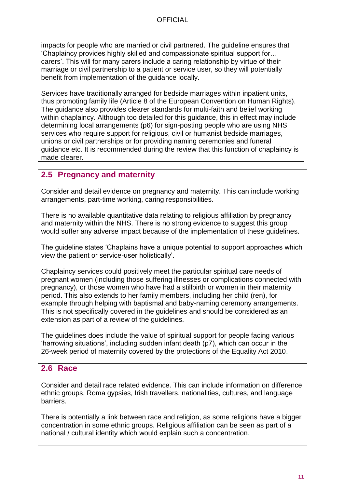impacts for people who are married or civil partnered. The guideline ensures that 'Chaplaincy provides highly skilled and compassionate spiritual support for… carers'. This will for many carers include a caring relationship by virtue of their marriage or civil partnership to a patient or service user, so they will potentially benefit from implementation of the guidance locally.

Services have traditionally arranged for bedside marriages within inpatient units, thus promoting family life (Article 8 of the European Convention on Human Rights). The guidance also provides clearer standards for multi-faith and belief working within chaplaincy. Although too detailed for this guidance, this in effect may include determining local arrangements (p6) for sign-posting people who are using NHS services who require support for religious, civil or humanist bedside marriages, unions or civil partnerships or for providing naming ceremonies and funeral guidance etc. It is recommended during the review that this function of chaplaincy is made clearer.

### <span id="page-10-0"></span>**2.5 Pregnancy and maternity**

Consider and detail evidence on pregnancy and maternity. This can include working arrangements, part-time working, caring responsibilities.

There is no available quantitative data relating to religious affiliation by pregnancy and maternity within the NHS. There is no strong evidence to suggest this group would suffer any adverse impact because of the implementation of these guidelines.

The guideline states 'Chaplains have a unique potential to support approaches which view the patient or service-user holistically'.

Chaplaincy services could positively meet the particular spiritual care needs of pregnant women (including those suffering illnesses or complications connected with pregnancy), or those women who have had a stillbirth or women in their maternity period. This also extends to her family members, including her child (ren), for example through helping with baptismal and baby-naming ceremony arrangements. This is not specifically covered in the guidelines and should be considered as an extension as part of a review of the guidelines.

The guidelines does include the value of spiritual support for people facing various 'harrowing situations', including sudden infant death (p7), which can occur in the 26-week period of maternity covered by the protections of the Equality Act 2010.

### <span id="page-10-1"></span>**2.6 Race**

Consider and detail race related evidence. This can include information on difference ethnic groups, Roma gypsies, Irish travellers, nationalities, cultures, and language barriers.

There is potentially a link between race and religion, as some religions have a bigger concentration in some ethnic groups. Religious affiliation can be seen as part of a national / cultural identity which would explain such a concentration.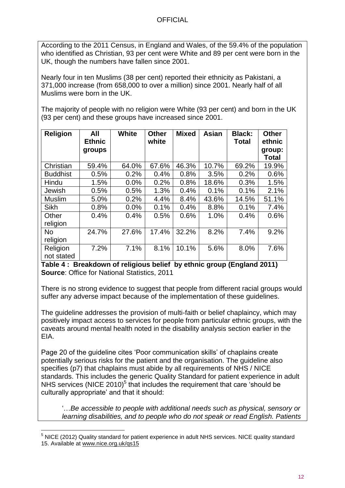According to the 2011 Census, in England and Wales, of the 59.4% of the population who identified as Christian, 93 per cent were White and 89 per cent were born in the UK, though the numbers have fallen since 2001.

Nearly four in ten Muslims (38 per cent) reported their ethnicity as Pakistani, a 371,000 increase (from 658,000 to over a million) since 2001. Nearly half of all Muslims were born in the UK.

The majority of people with no religion were White (93 per cent) and born in the UK (93 per cent) and these groups have increased since 2001.

| <b>Religion</b>        | All<br><b>Ethnic</b><br>groups | <b>White</b> | <b>Other</b><br>white | <b>Mixed</b> | <b>Asian</b> | <b>Black:</b><br><b>Total</b> | <b>Other</b><br>ethnic<br>group:<br><b>Total</b> |
|------------------------|--------------------------------|--------------|-----------------------|--------------|--------------|-------------------------------|--------------------------------------------------|
| Christian              | 59.4%                          | 64.0%        | 67.6%                 | 46.3%        | 10.7%        | 69.2%                         | 19.9%                                            |
| <b>Buddhist</b>        | 0.5%                           | 0.2%         | 0.4%                  | 0.8%         | 3.5%         | 0.2%                          | 0.6%                                             |
| Hindu                  | 1.5%                           | 0.0%         | 0.2%                  | 0.8%         | 18.6%        | 0.3%                          | 1.5%                                             |
| Jewish                 | 0.5%                           | 0.5%         | 1.3%                  | 0.4%         | 0.1%         | 0.1%                          | 2.1%                                             |
| <b>Muslim</b>          | 5.0%                           | 0.2%         | 4.4%                  | 8.4%         | 43.6%        | 14.5%                         | 51.1%                                            |
| <b>Sikh</b>            | 0.8%                           | 0.0%         | 0.1%                  | 0.4%         | 8.8%         | 0.1%                          | 7.4%                                             |
| Other<br>religion      | 0.4%                           | 0.4%         | 0.5%                  | 0.6%         | 1.0%         | 0.4%                          | 0.6%                                             |
| No<br>religion         | 24.7%                          | 27.6%        | 17.4%                 | 32.2%        | 8.2%         | 7.4%                          | 9.2%                                             |
| Religion<br>not stated | 7.2%                           | 7.1%         | 8.1%                  | 10.1%        | 5.6%         | 8.0%                          | 7.6%                                             |

**Table 4 : Breakdown of religious belief by ethnic group (England 2011) Source**: Office for National Statistics, 2011

There is no strong evidence to suggest that people from different racial groups would suffer any adverse impact because of the implementation of these guidelines.

The guideline addresses the provision of multi-faith or belief chaplaincy, which may positively impact access to services for people from particular ethnic groups, with the caveats around mental health noted in the disability analysis section earlier in the EIA.

Page 20 of the guideline cites 'Poor communication skills' of chaplains create potentially serious risks for the patient and the organisation. The guideline also specifies (p7) that chaplains must abide by all requirements of NHS / NICE standards. This includes the generic Quality Standard for patient experience in adult NHS services (NICE 2010)<sup>5</sup> that includes the requirement that care 'should be culturally appropriate' and that it should:

'…*Be accessible to people with additional needs such as physical, sensory or learning disabilities, and to people who do not speak or read English. Patients* 

l <sup>5</sup> NICE (2012) Quality standard for patient experience in adult NHS services. NICE quality standard 15. Available at [www.nice.org.uk/qs15](http://www.nice.org.uk/qs15)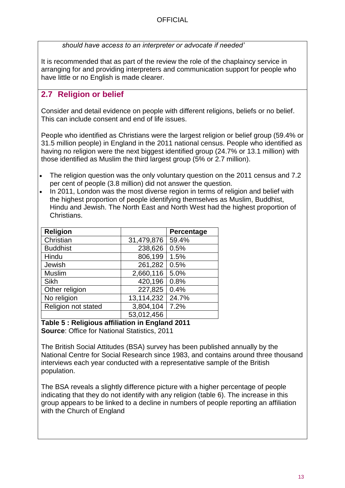*should have access to an interpreter or advocate if needed'*

It is recommended that as part of the review the role of the chaplaincy service in arranging for and providing interpreters and communication support for people who have little or no English is made clearer.

### <span id="page-12-0"></span>**2.7 Religion or belief**

Consider and detail evidence on people with different religions, beliefs or no belief. This can include consent and end of life issues.

People who identified as Christians were the largest religion or belief group (59.4% or 31.5 million people) in England in the 2011 national census. People who identified as having no religion were the next biggest identified group (24.7% or 13.1 million) with those identified as Muslim the third largest group (5% or 2.7 million).

- The religion question was the only voluntary question on the 2011 census and 7.2 per cent of people (3.8 million) did not answer the question.
- In 2011, London was the most diverse region in terms of religion and belief with the highest proportion of people identifying themselves as Muslim, Buddhist, Hindu and Jewish. The North East and North West had the highest proportion of Christians.

| <b>Religion</b>     |            | Percentage |
|---------------------|------------|------------|
| Christian           | 31,479,876 | 59.4%      |
| <b>Buddhist</b>     | 238,626    | 0.5%       |
| Hindu               | 806,199    | 1.5%       |
| Jewish              | 261,282    | 0.5%       |
| <b>Muslim</b>       | 2,660,116  | 5.0%       |
| Sikh                | 420,196    | 0.8%       |
| Other religion      | 227,825    | 0.4%       |
| No religion         | 13,114,232 | 24.7%      |
| Religion not stated | 3,804,104  | 7.2%       |
|                     | 53,012,456 |            |

**Table 5 : Religious affiliation in England 2011 Source**: Office for National Statistics, 2011

The British Social Attitudes (BSA) survey has been published annually by the National Centre for Social Research since 1983, and contains around three thousand interviews each year conducted with a representative sample of the British population.

The BSA reveals a slightly difference picture with a higher percentage of people indicating that they do not identify with any religion (table 6). The increase in this group appears to be linked to a decline in numbers of people reporting an affiliation with the Church of England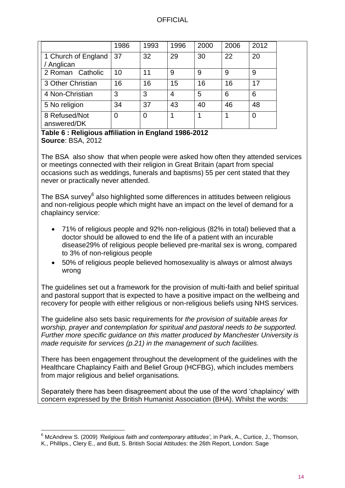|                                   | 1986        | 1993 | 1996 | 2000 | 2006 | 2012 |
|-----------------------------------|-------------|------|------|------|------|------|
| 1 Church of England<br>/ Anglican | 37          | 32   | 29   | 30   | 22   | 20   |
| 2 Roman Catholic                  | 10          | 11   | 9    | 9    | 9    | 9    |
| 3 Other Christian                 | 16          | 16   | 15   | 16   | 16   | 17   |
| 4 Non-Christian                   | 3           | 3    | 4    | 5    | 6    | 6    |
| 5 No religion                     | 34          | 37   | 43   | 40   | 46   | 48   |
| 8 Refused/Not<br>answered/DK      | $\mathbf 0$ | 0    |      |      |      | 0    |

#### **Table 6 : Religious affiliation in England 1986-2012 Source**: BSA, 2012

The BSA also show that when people were asked how often they attended services or meetings connected with their religion in Great Britain (apart from special occasions such as weddings, funerals and baptisms) 55 per cent stated that they never or practically never attended.

The BSA survey $^6$  also highlighted some differences in attitudes between religious and non-religious people which might have an impact on the level of demand for a chaplaincy service:

- 71% of religious people and 92% non-religious (82% in total) believed that a doctor should be allowed to end the life of a patient with an incurable disease29% of religious people believed pre-marital sex is wrong, compared to 3% of non-religious people
- 50% of religious people believed homosexuality is always or almost always wrong

The guidelines set out a framework for the provision of multi-faith and belief spiritual and pastoral support that is expected to have a positive impact on the wellbeing and recovery for people with either religious or non-religious beliefs using NHS services.

The guideline also sets basic requirements for *the provision of suitable areas for worship, prayer and contemplation for spiritual and pastoral needs to be supported. Further more specific guidance on this matter produced by Manchester University is made requisite for services (p.21) in the management of such facilities.*

There has been engagement throughout the development of the guidelines with the Healthcare Chaplaincy Faith and Belief Group (HCFBG), which includes members from major religious and belief organisations.

Separately there has been disagreement about the use of the word 'chaplaincy' with concern expressed by the British Humanist Association (BHA). Whilst the words:

l <sup>6</sup> McAndrew S. (2009) *'Religious faith and contemporary attitudes'*, in Park, A., Curtice, J., Thomson, K., Phillips., Clery E., and Butt, S. British Social Attitudes: the 26th Report, London: Sage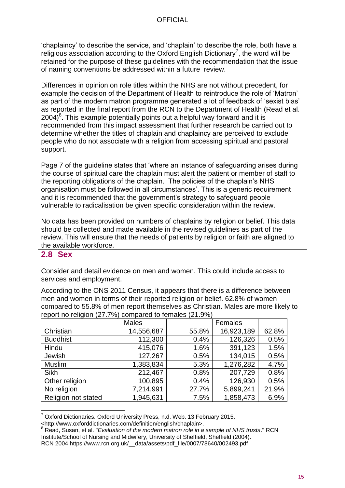'chaplaincy' to describe the service, and 'chaplain' to describe the role, both have a religious association according to the Oxford English Dictionary<sup>7</sup>, the word will be retained for the purpose of these guidelines with the recommendation that the issue of naming conventions be addressed within a future review.

Differences in opinion on role titles within the NHS are not without precedent, for example the decision of the Department of Health to reintroduce the role of 'Matron' as part of the modern matron programme generated a lot of feedback of 'sexist bias' as reported in the final report from the RCN to the Department of Health (Read et al. 2004)<sup>8</sup>. This example potentially points out a helpful way forward and it is recommended from this impact assessment that further research be carried out to determine whether the titles of chaplain and chaplaincy are perceived to exclude people who do not associate with a religion from accessing spiritual and pastoral support.

Page 7 of the guideline states that 'where an instance of safeguarding arises during the course of spiritual care the chaplain must alert the patient or member of staff to the reporting obligations of the chaplain. The policies of the chaplain's NHS organisation must be followed in all circumstances'. This is a generic requirement and it is recommended that the government's strategy to safeguard people vulnerable to radicalisation be given specific consideration within the review.

No data has been provided on numbers of chaplains by religion or belief. This data should be collected and made available in the revised guidelines as part of the review. This will ensure that the needs of patients by religion or faith are aligned to the available workforce.

#### <span id="page-14-0"></span>**2.8 Sex**

Consider and detail evidence on men and women. This could include access to services and employment.

According to the ONS 2011 Census, it appears that there is a difference between men and women in terms of their reported religion or belief. 62.8% of women compared to 55.8% of men report themselves as Christian. Males are more likely to report no religion (27.7%) compared to females (21.9%)

| - ت                 | <b>Males</b> | Females |            |       |
|---------------------|--------------|---------|------------|-------|
| Christian           | 14,556,687   | 55.8%   | 16,923,189 | 62.8% |
| <b>Buddhist</b>     | 112,300      | 0.4%    | 126,326    | 0.5%  |
| Hindu               | 415,076      | 1.6%    | 391,123    | 1.5%  |
| Jewish              | 127,267      | 0.5%    | 134,015    | 0.5%  |
| <b>Muslim</b>       | 1,383,834    | 5.3%    | 1,276,282  | 4.7%  |
| <b>Sikh</b>         | 212,467      | 0.8%    | 207,729    | 0.8%  |
| Other religion      | 100,895      | 0.4%    | 126,930    | 0.5%  |
| No religion         | 7,214,991    | 27.7%   | 5,899,241  | 21.9% |
| Religion not stated | 1,945,631    | 7.5%    | 1,858,473  | 6.9%  |

l  $7$  Oxford Dictionaries. Oxford University Press, n.d. Web. 13 February 2015.

<sup>&</sup>lt;http://www.oxforddictionaries.com/definition/english/chaplain>.

<sup>8</sup> Read, Susan, et al. "*Evaluation of the modern matron role in a sample of NHS trusts*." RCN Institute/School of Nursing and Midwifery, University of Sheffield, Sheffield (2004). RCN 2004 https://www.rcn.org.uk/\_\_data/assets/pdf\_file/0007/78640/002493.pdf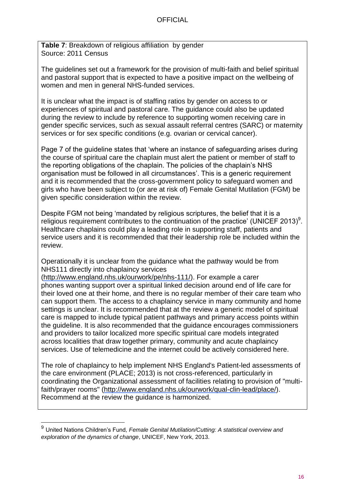**Table 7**: Breakdown of religious affiliation by gender Source: 2011 Census

The guidelines set out a framework for the provision of multi-faith and belief spiritual and pastoral support that is expected to have a positive impact on the wellbeing of women and men in general NHS-funded services.

It is unclear what the impact is of staffing ratios by gender on access to or experiences of spiritual and pastoral care. The guidance could also be updated during the review to include by reference to supporting women receiving care in gender specific services, such as sexual assault referral centres (SARC) or maternity services or for sex specific conditions (e.g. ovarian or cervical cancer).

Page 7 of the guideline states that 'where an instance of safeguarding arises during the course of spiritual care the chaplain must alert the patient or member of staff to the reporting obligations of the chaplain. The policies of the chaplain's NHS organisation must be followed in all circumstances'. This is a generic requirement and it is recommended that the cross-government policy to safeguard women and girls who have been subject to (or are at risk of) Female Genital Mutilation (FGM) be given specific consideration within the review.

Despite FGM not being 'mandated by religious scriptures, the belief that it is a religious requirement contributes to the continuation of the practice' (UNICEF 2013)<sup>9</sup>. Healthcare chaplains could play a leading role in supporting staff, patients and service users and it is recommended that their leadership role be included within the review.

Operationally it is unclear from the guidance what the pathway would be from NHS111 directly into chaplaincy services

[\(http://www.england.nhs.uk/ourwork/pe/nhs-111/\)](http://www.england.nhs.uk/ourwork/pe/nhs-111/). For example a carer phones wanting support over a spiritual linked decision around end of life care for their loved one at their home, and there is no regular member of their care team who can support them. The access to a chaplaincy service in many community and home settings is unclear. It is recommended that at the review a generic model of spiritual care is mapped to include typical patient pathways and primary access points within the guideline. It is also recommended that the guidance encourages commissioners and providers to tailor localized more specific spiritual care models integrated across localities that draw together primary, community and acute chaplaincy services. Use of telemedicine and the internet could be actively considered here.

The role of chaplaincy to help implement NHS England's Patient-led assessments of the care environment (PLACE; 2013) is not cross-referenced, particularly in coordinating the Organizational assessment of facilities relating to provision of "multifaith/prayer rooms" [\(http://www.england.nhs.uk/ourwork/qual-clin-lead/place/\)](http://www.england.nhs.uk/ourwork/qual-clin-lead/place/). Recommend at the review the guidance is harmonized.

l

<sup>9</sup> United Nations Children's Fund*, Female Genital Mutilation/Cutting: A statistical overview and exploration of the dynamics of change*, UNICEF, New York, 2013.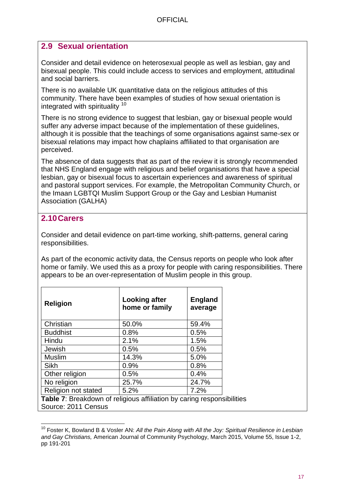## <span id="page-16-0"></span>**2.9 Sexual orientation**

Consider and detail evidence on heterosexual people as well as lesbian, gay and bisexual people. This could include access to services and employment, attitudinal and social barriers.

There is no available UK quantitative data on the religious attitudes of this community. There have been examples of studies of how sexual orientation is integrated with spirituality <sup>10</sup>

There is no strong evidence to suggest that lesbian, gay or bisexual people would suffer any adverse impact because of the implementation of these guidelines, although it is possible that the teachings of some organisations against same-sex or bisexual relations may impact how chaplains affiliated to that organisation are perceived.

The absence of data suggests that as part of the review it is strongly recommended that NHS England engage with religious and belief organisations that have a special lesbian, gay or bisexual focus to ascertain experiences and awareness of spiritual and pastoral support services. For example, the Metropolitan Community Church, or the Imaan LGBTQI Muslim Support Group or the Gay and Lesbian Humanist Association (GALHA)

## <span id="page-16-1"></span>**2.10Carers**

l

Consider and detail evidence on part-time working, shift-patterns, general caring responsibilities.

As part of the economic activity data, the Census reports on people who look after home or family. We used this as a proxy for people with caring responsibilities. There appears to be an over-representation of Muslim people in this group.

|             | <b>Religion</b>                                              | <b>Looking after</b><br>home or family | <b>England</b><br>average |  |  |  |  |  |
|-------------|--------------------------------------------------------------|----------------------------------------|---------------------------|--|--|--|--|--|
|             | Christian                                                    | 50.0%                                  | 59.4%                     |  |  |  |  |  |
|             | <b>Buddhist</b>                                              | 0.8%                                   | 0.5%                      |  |  |  |  |  |
|             | Hindu                                                        | 2.1%                                   | 1.5%                      |  |  |  |  |  |
|             | Jewish                                                       | 0.5%                                   | 0.5%                      |  |  |  |  |  |
|             | <b>Muslim</b>                                                | 14.3%                                  | 5.0%                      |  |  |  |  |  |
|             | Sikh                                                         | 0.9%                                   | 0.8%                      |  |  |  |  |  |
|             | Other religion                                               | 0.5%                                   | 0.4%                      |  |  |  |  |  |
| No religion |                                                              | 25.7%                                  | 24.7%                     |  |  |  |  |  |
|             | Religion not stated                                          | 5.2%                                   | 7.2%                      |  |  |  |  |  |
|             | Table 7: Proakdown of roligious officiation by caring respon |                                        |                           |  |  |  |  |  |

**Table 7:** Breakdown of religious affiliation by caring responsibilities Source: 2011 Census

<sup>10</sup> Foster K, Bowland B & Vosler AN: *All the Pain Along with All the Joy: Spiritual Resilience in Lesbian and Gay Christians,* American Journal of Community Psychology, March 2015, Volume 55, Issue 1-2, pp 191-201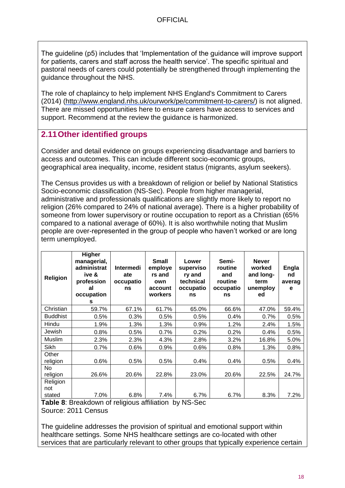The guideline (p5) includes that 'Implementation of the guidance will improve support for patients, carers and staff across the health service'. The specific spiritual and pastoral needs of carers could potentially be strengthened through implementing the guidance throughout the NHS.

The role of chaplaincy to help implement NHS England's Commitment to Carers (2014) [\(http://www.england.nhs.uk/ourwork/pe/commitment-to-carers/\)](http://www.england.nhs.uk/ourwork/pe/commitment-to-carers/) is not aligned. There are missed opportunities here to ensure carers have access to services and support. Recommend at the review the guidance is harmonized.

### <span id="page-17-0"></span>**2.11Other identified groups**

Consider and detail evidence on groups experiencing disadvantage and barriers to access and outcomes. This can include different socio-economic groups, geographical area inequality, income, resident status (migrants, asylum seekers).

The Census provides us with a breakdown of religion or belief by National Statistics Socio-economic classification (NS-Sec). People from higher managerial, administrative and professionals qualifications are slightly more likely to report no religion (26% compared to 24% of national average). There is a higher probability of someone from lower supervisory or routine occupation to report as a Christian (65% compared to a national average of 60%). It is also worthwhile noting that Muslim people are over-represented in the group of people who haven't worked or are long term unemployed.

| Religion          | Higher<br>managerial,<br>administrat<br>ive &<br>profession<br>al<br>occupation<br>s | <b>Intermedi</b><br>ate<br>occupatio<br>ns | <b>Small</b><br>employe<br>rs and<br>own<br>account<br>workers | Lower<br>superviso<br>ry and<br>technical<br>occupatio<br>ns | Semi-<br>routine<br>and<br>routine<br>occupatio<br>ns | <b>Never</b><br>worked<br>and long-<br>term<br>unemploy<br>ed | <b>Engla</b><br>nd<br>averag<br>e |
|-------------------|--------------------------------------------------------------------------------------|--------------------------------------------|----------------------------------------------------------------|--------------------------------------------------------------|-------------------------------------------------------|---------------------------------------------------------------|-----------------------------------|
| Christian         | 59.7%                                                                                | 67.1%                                      | 61.7%                                                          | 65.0%                                                        | 66.6%                                                 | 47.0%                                                         | 59.4%                             |
| <b>Buddhist</b>   | 0.5%                                                                                 | 0.3%                                       | 0.5%                                                           | 0.5%                                                         | 0.4%                                                  | 0.7%                                                          | 0.5%                              |
| Hindu             | 1.9%                                                                                 | 1.3%                                       | 1.3%                                                           | 0.9%                                                         | 1.2%                                                  | 2.4%                                                          | 1.5%                              |
| Jewish            | 0.8%                                                                                 | 0.5%                                       | 0.7%                                                           | 0.2%                                                         | 0.2%                                                  | 0.4%                                                          | 0.5%                              |
| Muslim            | 2.3%                                                                                 | 2.3%                                       | 4.3%                                                           | 2.8%                                                         | 3.2%                                                  | 16.8%                                                         | 5.0%                              |
| Sikh              | 0.7%                                                                                 | 0.6%                                       | 0.9%                                                           | 0.6%                                                         | 0.8%                                                  | 1.3%                                                          | 0.8%                              |
| Other<br>religion | 0.6%                                                                                 | 0.5%                                       | 0.5%                                                           | 0.4%                                                         | 0.4%                                                  | 0.5%                                                          | 0.4%                              |
| No.<br>religion   | 26.6%                                                                                | 20.6%                                      | 22.8%                                                          | 23.0%                                                        | 20.6%                                                 | 22.5%                                                         | 24.7%                             |
| Religion<br>not   |                                                                                      |                                            |                                                                |                                                              |                                                       |                                                               |                                   |
| stated            | 7.0%                                                                                 | 6.8%                                       | 7.4%                                                           | 6.7%                                                         | 6.7%                                                  | 8.3%                                                          | 7.2%                              |

**Table 8**: Breakdown of religious affiliation by NS-Sec Source: 2011 Census

The guideline addresses the provision of spiritual and emotional support within healthcare settings. Some NHS healthcare settings are co-located with other services that are particularly relevant to other groups that typically experience certain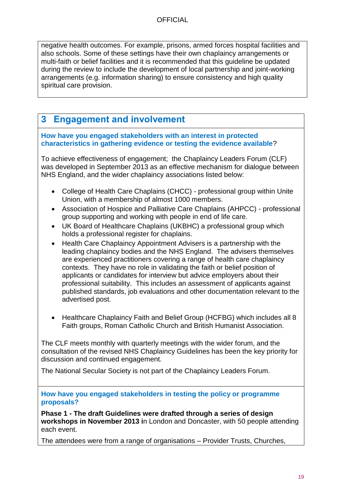negative health outcomes. For example, prisons, armed forces hospital facilities and also schools. Some of these settings have their own chaplaincy arrangements or multi-faith or belief facilities and it is recommended that this guideline be updated during the review to include the development of local partnership and joint-working arrangements (e.g. information sharing) to ensure consistency and high quality spiritual care provision.

## <span id="page-18-0"></span>**3 Engagement and involvement**

#### **How have you engaged stakeholders with an interest in protected characteristics in gathering evidence or testing the evidence available**?

To achieve effectiveness of engagement; the Chaplaincy Leaders Forum (CLF) was developed in September 2013 as an effective mechanism for dialogue between NHS England, and the wider chaplaincy associations listed below:

- College of Health Care Chaplains (CHCC) professional group within Unite Union, with a membership of almost 1000 members.
- Association of Hospice and Palliative Care Chaplains (AHPCC) professional group supporting and working with people in end of life care.
- UK Board of Healthcare Chaplains (UKBHC) a professional group which holds a professional register for chaplains.
- Health Care Chaplaincy Appointment Advisers is a partnership with the leading chaplaincy bodies and the NHS England. The advisers themselves are experienced practitioners covering a range of health care chaplaincy contexts. They have no role in validating the faith or belief position of applicants or candidates for interview but advice employers about their professional suitability. This includes an assessment of applicants against published standards, job evaluations and other documentation relevant to the advertised post.
- Healthcare Chaplaincy Faith and Belief Group (HCFBG) which includes all 8 Faith groups, Roman Catholic Church and British Humanist Association.

The CLF meets monthly with quarterly meetings with the wider forum, and the consultation of the revised NHS Chaplaincy Guidelines has been the key priority for discussion and continued engagement.

The National Secular Society is not part of the Chaplaincy Leaders Forum.

**How have you engaged stakeholders in testing the policy or programme proposals?** 

**Phase 1 - The draft Guidelines were drafted through a series of design workshops in November 2013 i**n London and Doncaster, with 50 people attending each event.

The attendees were from a range of organisations – Provider Trusts, Churches,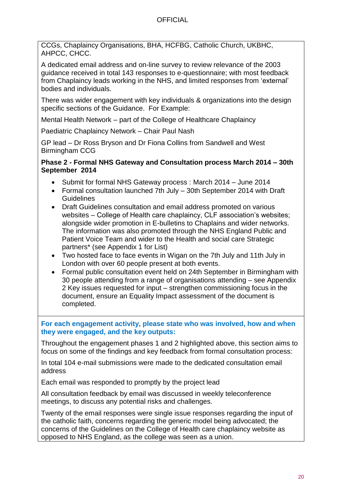CCGs, Chaplaincy Organisations, BHA, HCFBG, Catholic Church, UKBHC, AHPCC, CHCC.

A dedicated email address and on-line survey to review relevance of the 2003 guidance received in total 143 responses to e-questionnaire; with most feedback from Chaplaincy leads working in the NHS, and limited responses from 'external' bodies and individuals.

There was wider engagement with key individuals & organizations into the design specific sections of the Guidance. For Example:

Mental Health Network – part of the College of Healthcare Chaplaincy

Paediatric Chaplaincy Network – Chair Paul Nash

GP lead – Dr Ross Bryson and Dr Fiona Collins from Sandwell and West Birmingham CCG

#### **Phase 2 - Formal NHS Gateway and Consultation process March 2014 – 30th September 2014**

- Submit for formal NHS Gateway process : March 2014 June 2014
- Formal consultation launched 7th July 30th September 2014 with Draft **Guidelines**
- Draft Guidelines consultation and email address promoted on various websites – College of Health care chaplaincy, CLF association's websites; alongside wider promotion in E-bulletins to Chaplains and wider networks. The information was also promoted through the NHS England Public and Patient Voice Team and wider to the Health and social care Strategic partners\* (see Appendix 1 for List)
- Two hosted face to face events in Wigan on the 7th July and 11th July in London with over 60 people present at both events.
- Formal public consultation event held on 24th September in Birmingham with 30 people attending from a range of organisations attending – see Appendix 2 Key issues requested for input – strengthen commissioning focus in the document, ensure an Equality Impact assessment of the document is completed.

**For each engagement activity, please state who was involved, how and when they were engaged, and the key outputs:**

Throughout the engagement phases 1 and 2 highlighted above, this section aims to focus on some of the findings and key feedback from formal consultation process:

In total 104 e-mail submissions were made to the dedicated consultation email address

Each email was responded to promptly by the project lead

All consultation feedback by email was discussed in weekly teleconference meetings, to discuss any potential risks and challenges.

Twenty of the email responses were single issue responses regarding the input of the catholic faith, concerns regarding the generic model being advocated; the concerns of the Guidelines on the College of Health care chaplaincy website as opposed to NHS England, as the college was seen as a union.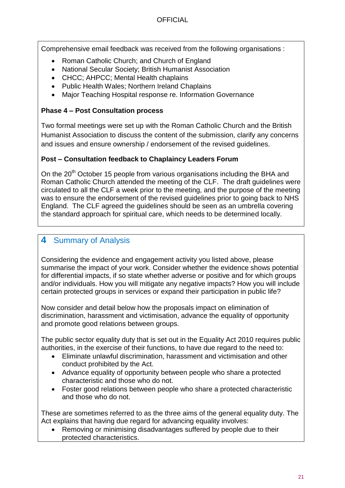Comprehensive email feedback was received from the following organisations :

- Roman Catholic Church; and Church of England
- National Secular Society; British Humanist Association
- CHCC; AHPCC; Mental Health chaplains
- Public Health Wales; Northern Ireland Chaplains
- Major Teaching Hospital response re. Information Governance

#### **Phase 4 – Post Consultation process**

Two formal meetings were set up with the Roman Catholic Church and the British Humanist Association to discuss the content of the submission, clarify any concerns and issues and ensure ownership / endorsement of the revised guidelines.

#### **Post – Consultation feedback to Chaplaincy Leaders Forum**

On the  $20<sup>th</sup>$  October 15 people from various organisations including the BHA and Roman Catholic Church attended the meeting of the CLF. The draft guidelines were circulated to all the CLF a week prior to the meeting, and the purpose of the meeting was to ensure the endorsement of the revised guidelines prior to going back to NHS England. The CLF agreed the guidelines should be seen as an umbrella covering the standard approach for spiritual care, which needs to be determined locally.

## <span id="page-20-0"></span>**4** Summary of Analysis

Considering the evidence and engagement activity you listed above, please summarise the impact of your work. Consider whether the evidence shows potential for differential impacts, if so state whether adverse or positive and for which groups and/or individuals. How you will mitigate any negative impacts? How you will include certain protected groups in services or expand their participation in public life?

Now consider and detail below how the proposals impact on elimination of discrimination, harassment and victimisation, advance the equality of opportunity and promote good relations between groups.

The public sector equality duty that is set out in the Equality Act 2010 requires public authorities, in the exercise of their functions, to have due regard to the need to:

- Eliminate unlawful discrimination, harassment and victimisation and other conduct prohibited by the Act.
- Advance equality of opportunity between people who share a protected characteristic and those who do not.
- Foster good relations between people who share a protected characteristic and those who do not.

These are sometimes referred to as the three aims of the general equality duty. The Act explains that having due regard for advancing equality involves:

 Removing or minimising disadvantages suffered by people due to their protected characteristics.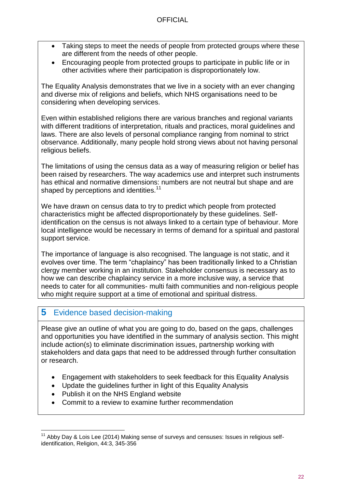- Taking steps to meet the needs of people from protected groups where these are different from the needs of other people.
- Encouraging people from protected groups to participate in public life or in other activities where their participation is disproportionately low.

The Equality Analysis demonstrates that we live in a society with an ever changing and diverse mix of religions and beliefs, which NHS organisations need to be considering when developing services.

Even within established religions there are various branches and regional variants with different traditions of interpretation, rituals and practices, moral guidelines and laws. There are also levels of personal compliance ranging from nominal to strict observance. Additionally, many people hold strong views about not having personal religious beliefs.

The limitations of using the census data as a way of measuring religion or belief has been raised by researchers. The way academics use and interpret such instruments has ethical and normative dimensions: numbers are not neutral but shape and are shaped by perceptions and identities.<sup>11</sup>

We have drawn on census data to try to predict which people from protected characteristics might be affected disproportionately by these guidelines. Selfidentification on the census is not always linked to a certain type of behaviour. More local intelligence would be necessary in terms of demand for a spiritual and pastoral support service.

The importance of language is also recognised. The language is not static, and it evolves over time. The term "chaplaincy" has been traditionally linked to a Christian clergy member working in an institution. Stakeholder consensus is necessary as to how we can describe chaplaincy service in a more inclusive way, a service that needs to cater for all communities- multi faith communities and non-religious people who might require support at a time of emotional and spiritual distress.

### <span id="page-21-0"></span>**5** Evidence based decision-making

Please give an outline of what you are going to do, based on the gaps, challenges and opportunities you have identified in the summary of analysis section. This might include action(s) to eliminate discrimination issues, partnership working with stakeholders and data gaps that need to be addressed through further consultation or research.

- Engagement with stakeholders to seek feedback for this Equality Analysis
- Update the guidelines further in light of this Equality Analysis
- Publish it on the NHS England website
- Commit to a review to examine further recommendation

l  $11$  Abby Day & Lois Lee (2014) Making sense of surveys and censuses: Issues in religious selfidentification, Religion, 44:3, 345-356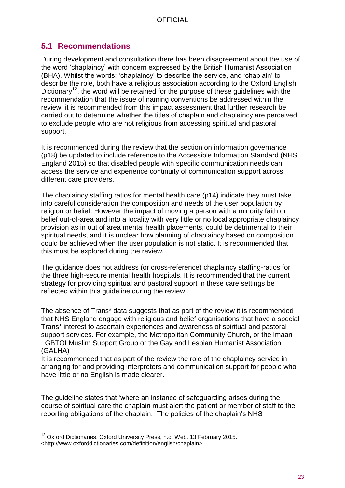### <span id="page-22-0"></span>**5.1 Recommendations**

During development and consultation there has been disagreement about the use of the word 'chaplaincy' with concern expressed by the British Humanist Association (BHA). Whilst the words: 'chaplaincy' to describe the service, and 'chaplain' to describe the role, both have a religious association according to the Oxford English Dictionary<sup>12</sup>, the word will be retained for the purpose of these guidelines with the recommendation that the issue of naming conventions be addressed within the review, it is recommended from this impact assessment that further research be carried out to determine whether the titles of chaplain and chaplaincy are perceived to exclude people who are not religious from accessing spiritual and pastoral support.

It is recommended during the review that the section on information governance (p18) be updated to include reference to the Accessible Information Standard (NHS England 2015) so that disabled people with specific communication needs can access the service and experience continuity of communication support across different care providers.

The chaplaincy staffing ratios for mental health care (p14) indicate they must take into careful consideration the composition and needs of the user population by religion or belief. However the impact of moving a person with a minority faith or belief out-of-area and into a locality with very little or no local appropriate chaplaincy provision as in out of area mental health placements, could be detrimental to their spiritual needs, and it is unclear how planning of chaplaincy based on composition could be achieved when the user population is not static. It is recommended that this must be explored during the review.

The guidance does not address (or cross-reference) chaplaincy staffing-ratios for the three high-secure mental health hospitals. It is recommended that the current strategy for providing spiritual and pastoral support in these care settings be reflected within this guideline during the review

The absence of Trans\* data suggests that as part of the review it is recommended that NHS England engage with religious and belief organisations that have a special Trans\* interest to ascertain experiences and awareness of spiritual and pastoral support services. For example, the Metropolitan Community Church, or the Imaan LGBTQI Muslim Support Group or the Gay and Lesbian Humanist Association (GALHA)

It is recommended that as part of the review the role of the chaplaincy service in arranging for and providing interpreters and communication support for people who have little or no English is made clearer.

The guideline states that 'where an instance of safeguarding arises during the course of spiritual care the chaplain must alert the patient or member of staff to the reporting obligations of the chaplain. The policies of the chaplain's NHS

l  $12$  Oxford Dictionaries. Oxford University Press, n.d. Web. 13 February 2015. <http://www.oxforddictionaries.com/definition/english/chaplain>.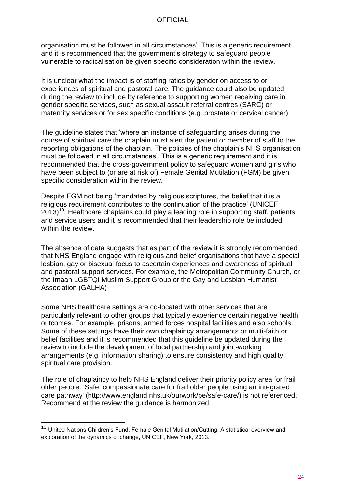organisation must be followed in all circumstances'. This is a generic requirement and it is recommended that the government's strategy to safeguard people vulnerable to radicalisation be given specific consideration within the review.

It is unclear what the impact is of staffing ratios by gender on access to or experiences of spiritual and pastoral care. The guidance could also be updated during the review to include by reference to supporting women receiving care in gender specific services, such as sexual assault referral centres (SARC) or maternity services or for sex specific conditions (e.g. prostate or cervical cancer).

The guideline states that 'where an instance of safeguarding arises during the course of spiritual care the chaplain must alert the patient or member of staff to the reporting obligations of the chaplain. The policies of the chaplain's NHS organisation must be followed in all circumstances'. This is a generic requirement and it is recommended that the cross-government policy to safeguard women and girls who have been subject to (or are at risk of) Female Genital Mutilation (FGM) be given specific consideration within the review.

Despite FGM not being 'mandated by religious scriptures, the belief that it is a religious requirement contributes to the continuation of the practice' (UNICEF  $2013$ <sup>13</sup>. Healthcare chaplains could play a leading role in supporting staff, patients and service users and it is recommended that their leadership role be included within the review.

The absence of data suggests that as part of the review it is strongly recommended that NHS England engage with religious and belief organisations that have a special lesbian, gay or bisexual focus to ascertain experiences and awareness of spiritual and pastoral support services. For example, the Metropolitan Community Church, or the Imaan LGBTQI Muslim Support Group or the Gay and Lesbian Humanist Association (GALHA)

Some NHS healthcare settings are co-located with other services that are particularly relevant to other groups that typically experience certain negative health outcomes. For example, prisons, armed forces hospital facilities and also schools. Some of these settings have their own chaplaincy arrangements or multi-faith or belief facilities and it is recommended that this guideline be updated during the review to include the development of local partnership and joint-working arrangements (e.g. information sharing) to ensure consistency and high quality spiritual care provision.

The role of chaplaincy to help NHS England deliver their priority policy area for frail older people: 'Safe, compassionate care for frail older people using an integrated care pathway' [\(http://www.england.nhs.uk/ourwork/pe/safe-care/\)](http://www.england.nhs.uk/ourwork/pe/safe-care/) is not referenced. Recommend at the review the guidance is harmonized.

l

<sup>&</sup>lt;sup>13</sup> United Nations Children's Fund, Female Genital Mutilation/Cutting: A statistical overview and exploration of the dynamics of change, UNICEF, New York, 2013.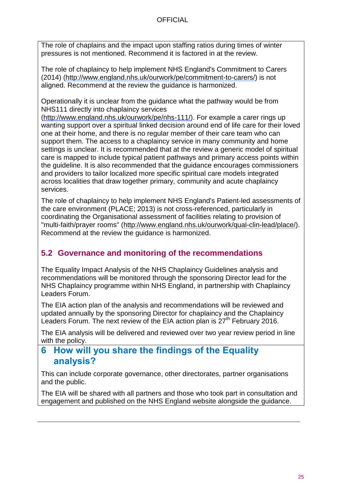The role of chaplains and the impact upon staffing ratios during times of winter pressures is not mentioned. Recommend it is factored in at the review.

The role of chaplaincy to help implement NHS England's Commitment to Carers (2014) [\(http://www.england.nhs.uk/ourwork/pe/commitment-to-carers/\)](http://www.england.nhs.uk/ourwork/pe/commitment-to-carers/) is not aligned. Recommend at the review the guidance is harmonized.

Operationally it is unclear from the guidance what the pathway would be from NHS111 directly into chaplaincy services

[\(http://www.england.nhs.uk/ourwork/pe/nhs-111/\)](http://www.england.nhs.uk/ourwork/pe/nhs-111/). For example a carer rings up wanting support over a spiritual linked decision around end of life care for their loved one at their home, and there is no regular member of their care team who can support them. The access to a chaplaincy service in many community and home settings is unclear. It is recommended that at the review a generic model of spiritual care is mapped to include typical patient pathways and primary access points within the guideline. It is also recommended that the guidance encourages commissioners and providers to tailor localized more specific spiritual care models integrated across localities that draw together primary, community and acute chaplaincy services.

The role of chaplaincy to help implement NHS England's Patient-led assessments of the care environment (PLACE; 2013) is not cross-referenced, particularly in coordinating the Organisational assessment of facilities relating to provision of "multi-faith/prayer rooms" [\(http://www.england.nhs.uk/ourwork/qual-clin-lead/place/\)](http://www.england.nhs.uk/ourwork/qual-clin-lead/place/). Recommend at the review the guidance is harmonized.

## <span id="page-24-0"></span>**5.2 Governance and monitoring of the recommendations**

The Equality Impact Analysis of the NHS Chaplaincy Guidelines analysis and recommendations will be monitored through the sponsoring Director lead for the NHS Chaplaincy programme within NHS England, in partnership with Chaplaincy Leaders Forum.

The EIA action plan of the analysis and recommendations will be reviewed and updated annually by the sponsoring Director for chaplaincy and the Chaplaincy Leaders Forum. The next review of the EIA action plan is 27<sup>th</sup> February 2016.

The EIA analysis will be delivered and reviewed over two year review period in line with the policy.

## <span id="page-24-1"></span>**6 How will you share the findings of the Equality analysis?**

This can include corporate governance, other directorates, partner organisations and the public.

The EIA will be shared with all partners and those who took part in consultation and engagement and published on the NHS England website alongside the guidance.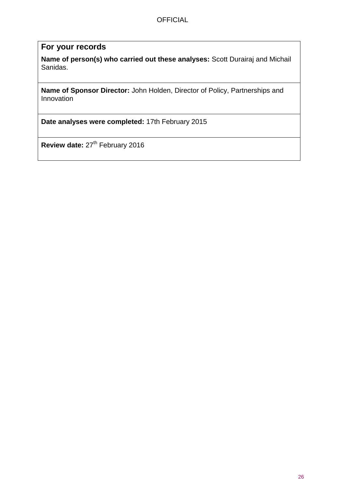#### **For your records**

**Name of person(s) who carried out these analyses:** Scott Durairaj and Michail Sanidas.

**Name of Sponsor Director:** John Holden, Director of Policy, Partnerships and Innovation

**Date analyses were completed:** 17th February 2015

Review date: 27<sup>th</sup> February 2016